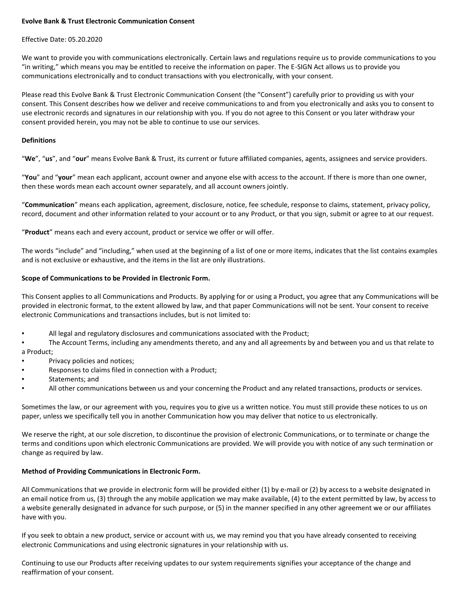# **Evolve Bank & Trust Electronic Communication Consent**

### Effective Date: 05.20.2020

We want to provide you with communications electronically. Certain laws and regulations require us to provide communications to you "in writing," which means you may be entitled to receive the information on paper. The E-SIGN Act allows us to provide you communications electronically and to conduct transactions with you electronically, with your consent.

Please read this Evolve Bank & Trust Electronic Communication Consent (the "Consent") carefully prior to providing us with your consent. This Consent describes how we deliver and receive communications to and from you electronically and asks you to consent to use electronic records and signatures in our relationship with you. If you do not agree to this Consent or you later withdraw your consent provided herein, you may not be able to continue to use our services.

### **Definitions**

"**We**", "**us**", and "**our**" means Evolve Bank & Trust, its current or future affiliated companies, agents, assignees and service providers.

"**You**" and "**your**" mean each applicant, account owner and anyone else with access to the account. If there is more than one owner, then these words mean each account owner separately, and all account owners jointly.

"**Communication**" means each application, agreement, disclosure, notice, fee schedule, response to claims, statement, privacy policy, record, document and other information related to your account or to any Product, or that you sign, submit or agree to at our request.

"**Product**" means each and every account, product or service we offer or will offer.

The words "include" and "including," when used at the beginning of a list of one or more items, indicates that the list contains examples and is not exclusive or exhaustive, and the items in the list are only illustrations.

#### **Scope of Communications to be Provided in Electronic Form.**

This Consent applies to all Communications and Products. By applying for or using a Product, you agree that any Communications will be provided in electronic format, to the extent allowed by law, and that paper Communications will not be sent. Your consent to receive electronic Communications and transactions includes, but is not limited to:

All legal and regulatory disclosures and communications associated with the Product;

The Account Terms, including any amendments thereto, and any and all agreements by and between you and us that relate to a Product;

- Privacy policies and notices;
- Responses to claims filed in connection with a Product;
- Statements: and
- All other communications between us and your concerning the Product and any related transactions, products or services.

Sometimes the law, or our agreement with you, requires you to give us a written notice. You must still provide these notices to us on paper, unless we specifically tell you in another Communication how you may deliver that notice to us electronically.

We reserve the right, at our sole discretion, to discontinue the provision of electronic Communications, or to terminate or change the terms and conditions upon which electronic Communications are provided. We will provide you with notice of any such termination or change as required by law.

# **Method of Providing Communications in Electronic Form.**

All Communications that we provide in electronic form will be provided either (1) by e-mail or (2) by access to a website designated in an email notice from us, (3) through the any mobile application we may make available, (4) to the extent permitted by law, by access to a website generally designated in advance for such purpose, or (5) in the manner specified in any other agreement we or our affiliates have with you.

If you seek to obtain a new product, service or account with us, we may remind you that you have already consented to receiving electronic Communications and using electronic signatures in your relationship with us.

Continuing to use our Products after receiving updates to our system requirements signifies your acceptance of the change and reaffirmation of your consent.